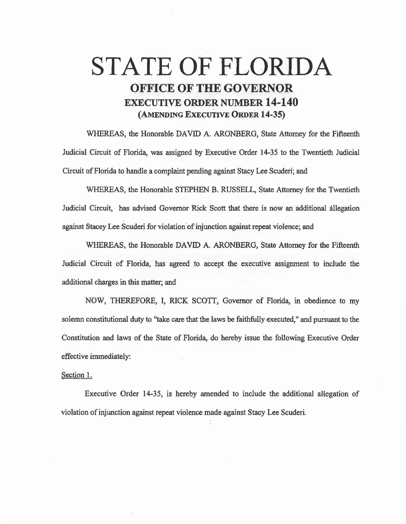## STATE OF FLORIDA OFFICE OF THE GOVERNOR EXECUTIVE ORDER NUMBER 14-140 (AMENDING EXECUTIVE ORDER 14-35)

WHEREAS, the Honorable DAVID A. ARONBERG, State Attorney for the Fifteenth Judicial Circuit of Florida, was assigned by Executive Order 14-35 to the Twentieth Judicial Circuit of Florida to handle a complaint pending against Stacy Lee Scuderi; and

WHEREAS, the Honorable STEPHEN B. RUSSELL, State Attorney for the Twentieth Judicial Circuit, has advised Governor Rick Scott that there is now an additional allegation against Stacey Lee Scuderi for violation of injunction against repeat violence; and

WHEREAS, the Honorable DAVID A. ARONBERG, State Attorney for the Fifteenth Judicial Circuit of Florida, has agreed to accept the executive assignment to include the additional charges in this matter; and

NOW, THEREFORE, I, RICK SCOTT, Governor of Florida, in obedience to my solemn constitutional duty to "take care that the laws be faithfully executed," and pursuant to the Constitution and laws of the State of Florida, do hereby issue the following Executive Order effective immediately:

## Section 1.

Executive Order 14-35, is hereby amended to include the additional allegation of violation of injunction against repeat violence made against Stacy Lee Scuderi.